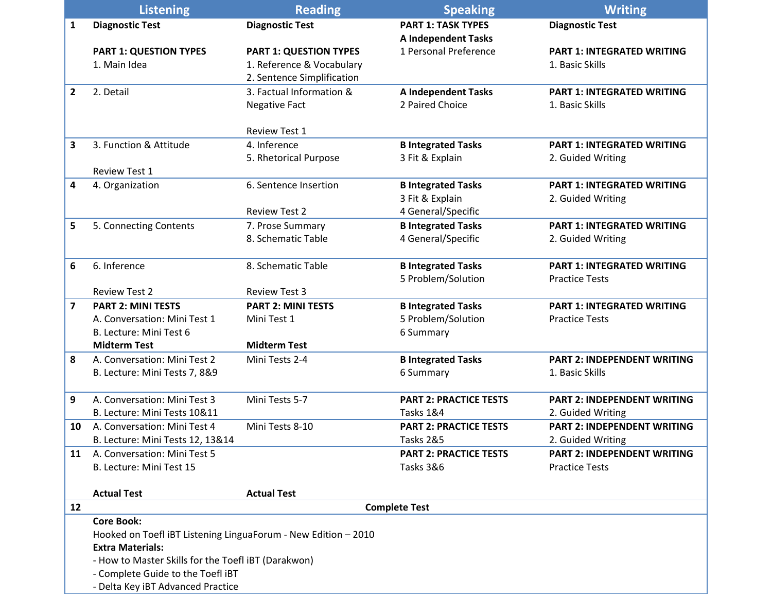|                         | <b>Listening</b>                                               | <b>Reading</b>                | <b>Speaking</b>               | <b>Writing</b>                     |
|-------------------------|----------------------------------------------------------------|-------------------------------|-------------------------------|------------------------------------|
| 1                       | <b>Diagnostic Test</b>                                         | <b>Diagnostic Test</b>        | <b>PART 1: TASK TYPES</b>     | <b>Diagnostic Test</b>             |
|                         |                                                                |                               | <b>A Independent Tasks</b>    |                                    |
|                         | <b>PART 1: QUESTION TYPES</b>                                  | <b>PART 1: QUESTION TYPES</b> | 1 Personal Preference         | <b>PART 1: INTEGRATED WRITING</b>  |
|                         | 1. Main Idea                                                   | 1. Reference & Vocabulary     |                               | 1. Basic Skills                    |
|                         |                                                                | 2. Sentence Simplification    |                               |                                    |
| $\mathbf{2}$            | 2. Detail                                                      | 3. Factual Information &      | <b>A Independent Tasks</b>    | <b>PART 1: INTEGRATED WRITING</b>  |
|                         |                                                                | <b>Negative Fact</b>          | 2 Paired Choice               | 1. Basic Skills                    |
|                         |                                                                |                               |                               |                                    |
|                         |                                                                | <b>Review Test 1</b>          |                               |                                    |
| 3                       | 3. Function & Attitude                                         | 4. Inference                  | <b>B Integrated Tasks</b>     | <b>PART 1: INTEGRATED WRITING</b>  |
|                         |                                                                | 5. Rhetorical Purpose         | 3 Fit & Explain               | 2. Guided Writing                  |
|                         | Review Test 1                                                  |                               |                               |                                    |
| 4                       | 4. Organization                                                | 6. Sentence Insertion         | <b>B Integrated Tasks</b>     | <b>PART 1: INTEGRATED WRITING</b>  |
|                         |                                                                |                               | 3 Fit & Explain               | 2. Guided Writing                  |
|                         |                                                                | <b>Review Test 2</b>          | 4 General/Specific            |                                    |
| 5                       | 5. Connecting Contents                                         | 7. Prose Summary              | <b>B Integrated Tasks</b>     | <b>PART 1: INTEGRATED WRITING</b>  |
|                         |                                                                | 8. Schematic Table            | 4 General/Specific            | 2. Guided Writing                  |
|                         |                                                                |                               |                               |                                    |
| 6                       | 6. Inference                                                   | 8. Schematic Table            | <b>B Integrated Tasks</b>     | <b>PART 1: INTEGRATED WRITING</b>  |
|                         |                                                                |                               | 5 Problem/Solution            | <b>Practice Tests</b>              |
|                         | <b>Review Test 2</b>                                           | <b>Review Test 3</b>          |                               |                                    |
| $\overline{\mathbf{z}}$ | <b>PART 2: MINI TESTS</b>                                      | <b>PART 2: MINI TESTS</b>     | <b>B Integrated Tasks</b>     | <b>PART 1: INTEGRATED WRITING</b>  |
|                         | A. Conversation: Mini Test 1                                   | Mini Test 1                   | 5 Problem/Solution            | <b>Practice Tests</b>              |
|                         | B. Lecture: Mini Test 6                                        |                               | 6 Summary                     |                                    |
|                         | <b>Midterm Test</b>                                            | <b>Midterm Test</b>           |                               |                                    |
| 8                       | A. Conversation: Mini Test 2                                   | Mini Tests 2-4                | <b>B Integrated Tasks</b>     | <b>PART 2: INDEPENDENT WRITING</b> |
|                         | B. Lecture: Mini Tests 7, 8&9                                  |                               | 6 Summary                     | 1. Basic Skills                    |
|                         |                                                                |                               |                               |                                    |
| 9                       | A. Conversation: Mini Test 3                                   | Mini Tests 5-7                | <b>PART 2: PRACTICE TESTS</b> | <b>PART 2: INDEPENDENT WRITING</b> |
|                         | B. Lecture: Mini Tests 10&11                                   |                               | Tasks 1&4                     | 2. Guided Writing                  |
| 10                      | A. Conversation: Mini Test 4                                   | Mini Tests 8-10               | <b>PART 2: PRACTICE TESTS</b> | <b>PART 2: INDEPENDENT WRITING</b> |
|                         | B. Lecture: Mini Tests 12, 13&14                               |                               | Tasks 2&5                     | 2. Guided Writing                  |
| 11                      | A. Conversation: Mini Test 5                                   |                               | <b>PART 2: PRACTICE TESTS</b> | <b>PART 2: INDEPENDENT WRITING</b> |
|                         | B. Lecture: Mini Test 15                                       |                               | Tasks 3&6                     | <b>Practice Tests</b>              |
|                         |                                                                |                               |                               |                                    |
|                         | <b>Actual Test</b>                                             | <b>Actual Test</b>            |                               |                                    |
| 12                      | <b>Complete Test</b>                                           |                               |                               |                                    |
|                         | <b>Core Book:</b>                                              |                               |                               |                                    |
|                         | Hooked on Toefl iBT Listening LinguaForum - New Edition - 2010 |                               |                               |                                    |
|                         | <b>Extra Materials:</b>                                        |                               |                               |                                    |
|                         | - How to Master Skills for the Toefl iBT (Darakwon)            |                               |                               |                                    |
|                         | - Complete Guide to the Toefl iBT                              |                               |                               |                                    |
|                         | - Delta Key iBT Advanced Practice                              |                               |                               |                                    |